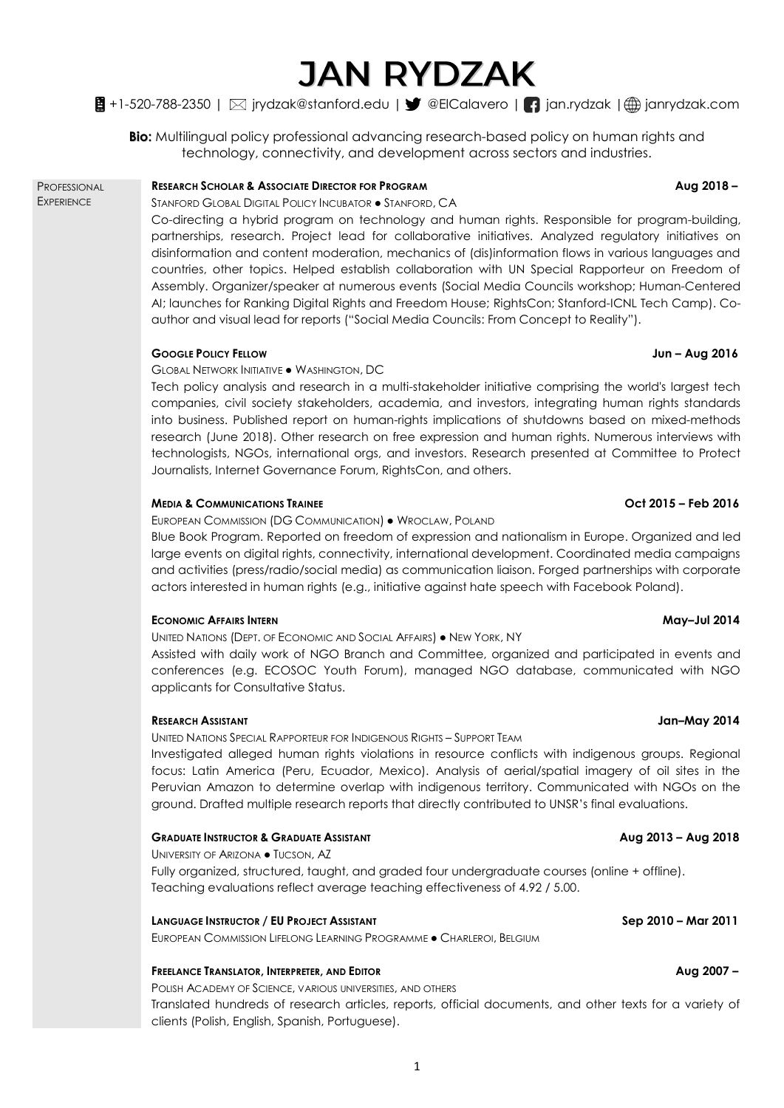# **JAN RYDZAK**

## $\bigoplus$  +1-520-788-2350 |  $\boxtimes$  jrydzak@stanford.edu |  $\blacktriangledown$  @ElCalavero |  $\bigcap$  jan.rydzak |  $\bigoplus$  janrydzak.com

**Bio:** Multilingual policy professional advancing research-based policy on human rights and technology, connectivity, and development across sectors and industries.

### **RESEARCH SCHOLAR & ASSOCIATE DIRECTOR FOR PROGRAM Aug 2018 –** PROFESSIONAL **EXPERIENCE**

STANFORD GLOBAL DIGITAL POLICY INCUBATOR . STANFORD, CA

Co-directing a hybrid program on technology and human rights. Responsible for program-building, partnerships, research. Project lead for collaborative initiatives. Analyzed regulatory initiatives on disinformation and content moderation, mechanics of (dis)information flows in various languages and countries, other topics. Helped establish collaboration with UN Special Rapporteur on Freedom of Assembly. Organizer/speaker at numerous events (Social Media Councils workshop; Human-Centered AI; launches for Ranking Digital Rights and Freedom House; RightsCon; Stanford-ICNL Tech Camp). Coauthor and visual lead for reports ("Social Media Councils: From Concept to Reality").

### **GOOGLE POLICY FELLOW Jun – Aug 2016**

GLOBAL NETWORK INITIATIVE ● WASHINGTON, DC

Tech policy analysis and research in a multi-stakeholder initiative comprising the world's largest tech companies, civil society stakeholders, academia, and investors, integrating human rights standards into business. Published report on human-rights implications of shutdowns based on mixed-methods research (June 2018). Other research on free expression and human rights. Numerous interviews with technologists, NGOs, international orgs, and investors. Research presented at Committee to Protect Journalists, Internet Governance Forum, RightsCon, and others.

### **MEDIA & COMMUNICATIONS TRAINEE Oct 2015 – Feb 2016**

### EUROPEAN COMMISSION (DG COMMUNICATION) ● WROCLAW, POLAND

Blue Book Program. Reported on freedom of expression and nationalism in Europe. Organized and led large events on digital rights, connectivity, international development. Coordinated media campaigns and activities (press/radio/social media) as communication liaison. Forged partnerships with corporate actors interested in human rights (e.g., initiative against hate speech with Facebook Poland).

### **ECONOMIC AFFAIRS INTERN May–Jul 2014**

UNITED NATIONS (DEPT. OF ECONOMIC AND SOCIAL AFFAIRS) ● NEW YORK, NY

Assisted with daily work of NGO Branch and Committee, organized and participated in events and conferences (e.g. ECOSOC Youth Forum), managed NGO database, communicated with NGO applicants for Consultative Status.

### **RESEARCH ASSISTANT Jan–May 2014**

UNITED NATIONS SPECIAL RAPPORTEUR FOR INDIGENOUS RIGHTS – SUPPORT TEAM

Investigated alleged human rights violations in resource conflicts with indigenous groups. Regional focus: Latin America (Peru, Ecuador, Mexico). Analysis of aerial/spatial imagery of oil sites in the Peruvian Amazon to determine overlap with indigenous territory. Communicated with NGOs on the ground. Drafted multiple research reports that directly contributed to UNSR's final evaluations.

### **GRADUATE INSTRUCTOR & GRADUATE ASSISTANT Aug 2013 – Aug 2018**

UNIVERSITY OF ARIZONA ● TUCSON, AZ

Fully organized, structured, taught, and graded four undergraduate courses (online + offline). Teaching evaluations reflect average teaching effectiveness of 4.92 / 5.00.

### **LANGUAGE INSTRUCTOR / EU PROJECT ASSISTANT Sep 2010 – Mar 2011**

EUROPEAN COMMISSION LIFELONG LEARNING PROGRAMME ● CHARLEROI, BELGIUM

### **FREELANCE TRANSLATOR, INTERPRETER, AND EDITOR Aug 2007 –**

POLISH ACADEMY OF SCIENCE, VARIOUS UNIVERSITIES, AND OTHERS

Translated hundreds of research articles, reports, official documents, and other texts for a variety of clients (Polish, English, Spanish, Portuguese).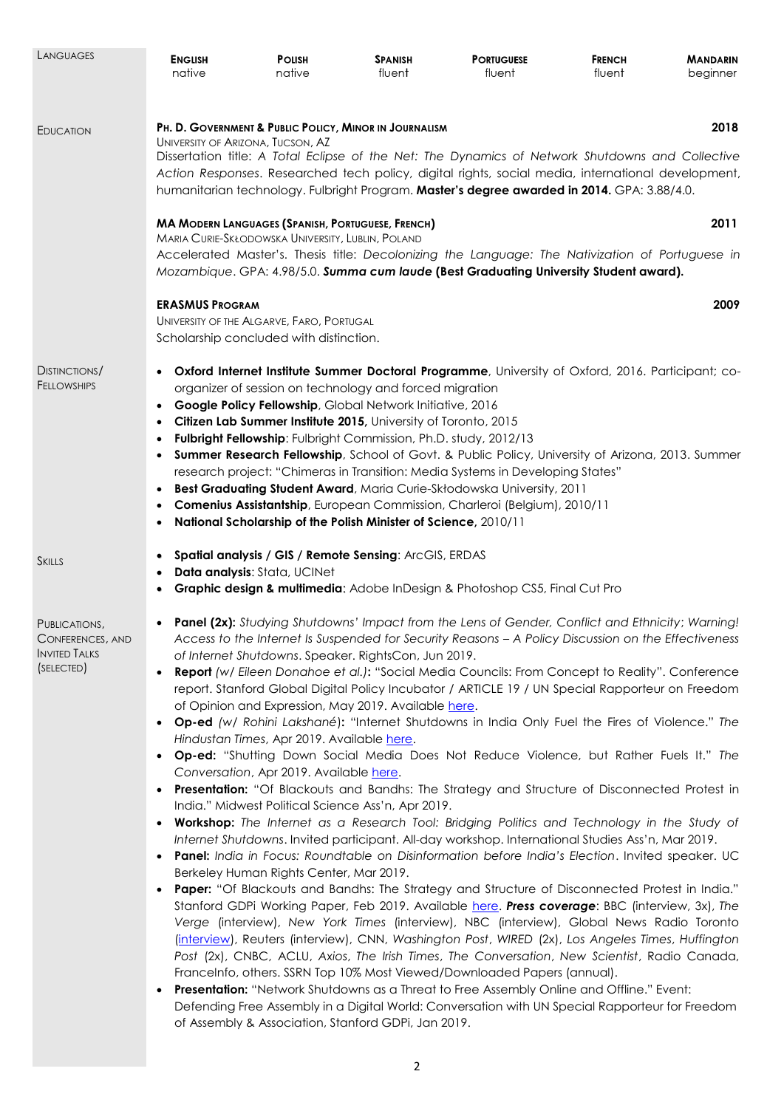| LANGUAGES                                                               | <b>ENGLISH</b><br>native                                                                                                                                                                                                                                                                                                                                                                                                                                                                                                                                                                                                                                                                                                                                                                                                                                                                                                                                                                                                                                                                                                                                                                                                                                                                                                                                                                                                                                                                                                                                                                                                                                                                                                                                                                                                                                                                                                                                                                                                                                                                                                                                                                                                    | <b>POLISH</b><br>native                                                                                                                                                                                                                                                                                                       | <b>SPANISH</b><br>fluent | <b>PORTUGUESE</b><br>fluent                                                                                                                                                                                                                                                                                                                                                                                                                    | <b>FRENCH</b><br>fluent | <b>MANDARIN</b><br>beginner |  |
|-------------------------------------------------------------------------|-----------------------------------------------------------------------------------------------------------------------------------------------------------------------------------------------------------------------------------------------------------------------------------------------------------------------------------------------------------------------------------------------------------------------------------------------------------------------------------------------------------------------------------------------------------------------------------------------------------------------------------------------------------------------------------------------------------------------------------------------------------------------------------------------------------------------------------------------------------------------------------------------------------------------------------------------------------------------------------------------------------------------------------------------------------------------------------------------------------------------------------------------------------------------------------------------------------------------------------------------------------------------------------------------------------------------------------------------------------------------------------------------------------------------------------------------------------------------------------------------------------------------------------------------------------------------------------------------------------------------------------------------------------------------------------------------------------------------------------------------------------------------------------------------------------------------------------------------------------------------------------------------------------------------------------------------------------------------------------------------------------------------------------------------------------------------------------------------------------------------------------------------------------------------------------------------------------------------------|-------------------------------------------------------------------------------------------------------------------------------------------------------------------------------------------------------------------------------------------------------------------------------------------------------------------------------|--------------------------|------------------------------------------------------------------------------------------------------------------------------------------------------------------------------------------------------------------------------------------------------------------------------------------------------------------------------------------------------------------------------------------------------------------------------------------------|-------------------------|-----------------------------|--|
| EDUCATION                                                               | 2018<br>PH. D. GOVERNMENT & PUBLIC POLICY, MINOR IN JOURNALISM<br>UNIVERSITY OF ARIZONA, TUCSON, AZ<br>Dissertation title: A Total Eclipse of the Net: The Dynamics of Network Shutdowns and Collective<br>Action Responses. Researched tech policy, digital rights, social media, international development,<br>humanitarian technology. Fulbright Program. Master's degree awarded in 2014. GPA: 3.88/4.0.                                                                                                                                                                                                                                                                                                                                                                                                                                                                                                                                                                                                                                                                                                                                                                                                                                                                                                                                                                                                                                                                                                                                                                                                                                                                                                                                                                                                                                                                                                                                                                                                                                                                                                                                                                                                                |                                                                                                                                                                                                                                                                                                                               |                          |                                                                                                                                                                                                                                                                                                                                                                                                                                                |                         |                             |  |
|                                                                         | <b>MA MODERN LANGUAGES (SPANISH, PORTUGUESE, FRENCH)</b><br>2011<br>MARIA CURIE-SKŁODOWSKA UNIVERSITY, LUBLIN, POLAND                                                                                                                                                                                                                                                                                                                                                                                                                                                                                                                                                                                                                                                                                                                                                                                                                                                                                                                                                                                                                                                                                                                                                                                                                                                                                                                                                                                                                                                                                                                                                                                                                                                                                                                                                                                                                                                                                                                                                                                                                                                                                                       |                                                                                                                                                                                                                                                                                                                               |                          |                                                                                                                                                                                                                                                                                                                                                                                                                                                |                         |                             |  |
|                                                                         | Accelerated Master's. Thesis title: Decolonizing the Language: The Nativization of Portuguese in<br>Mozambique. GPA: 4.98/5.0. Summa cum laude (Best Graduating University Student award).                                                                                                                                                                                                                                                                                                                                                                                                                                                                                                                                                                                                                                                                                                                                                                                                                                                                                                                                                                                                                                                                                                                                                                                                                                                                                                                                                                                                                                                                                                                                                                                                                                                                                                                                                                                                                                                                                                                                                                                                                                  |                                                                                                                                                                                                                                                                                                                               |                          |                                                                                                                                                                                                                                                                                                                                                                                                                                                |                         |                             |  |
|                                                                         | <b>ERASMUS PROGRAM</b>                                                                                                                                                                                                                                                                                                                                                                                                                                                                                                                                                                                                                                                                                                                                                                                                                                                                                                                                                                                                                                                                                                                                                                                                                                                                                                                                                                                                                                                                                                                                                                                                                                                                                                                                                                                                                                                                                                                                                                                                                                                                                                                                                                                                      | UNIVERSITY OF THE ALGARVE, FARO, PORTUGAL<br>Scholarship concluded with distinction.                                                                                                                                                                                                                                          |                          |                                                                                                                                                                                                                                                                                                                                                                                                                                                |                         | 2009                        |  |
| DISTINCTIONS/<br><b>FELLOWSHIPS</b>                                     | $\bullet$<br>$\bullet$                                                                                                                                                                                                                                                                                                                                                                                                                                                                                                                                                                                                                                                                                                                                                                                                                                                                                                                                                                                                                                                                                                                                                                                                                                                                                                                                                                                                                                                                                                                                                                                                                                                                                                                                                                                                                                                                                                                                                                                                                                                                                                                                                                                                      | organizer of session on technology and forced migration<br>Google Policy Fellowship, Global Network Initiative, 2016<br>Citizen Lab Summer Institute 2015, University of Toronto, 2015<br>Fulbright Fellowship: Fulbright Commission, Ph.D. study, 2012/13<br>National Scholarship of the Polish Minister of Science, 2010/11 |                          | Oxford Internet Institute Summer Doctoral Programme, University of Oxford, 2016. Participant; co-<br>Summer Research Fellowship, School of Govt. & Public Policy, University of Arizona, 2013. Summer<br>research project: "Chimeras in Transition: Media Systems in Developing States"<br>Best Graduating Student Award, Maria Curie-Skłodowska University, 2011<br>Comenius Assistantship, European Commission, Charleroi (Belgium), 2010/11 |                         |                             |  |
| SKILLS                                                                  | ٠<br>$\bullet$                                                                                                                                                                                                                                                                                                                                                                                                                                                                                                                                                                                                                                                                                                                                                                                                                                                                                                                                                                                                                                                                                                                                                                                                                                                                                                                                                                                                                                                                                                                                                                                                                                                                                                                                                                                                                                                                                                                                                                                                                                                                                                                                                                                                              | Spatial analysis / GIS / Remote Sensing: ArcGIS, ERDAS<br>Data analysis: Stata, UCINet                                                                                                                                                                                                                                        |                          | Graphic design & multimedia: Adobe InDesign & Photoshop CS5, Final Cut Pro                                                                                                                                                                                                                                                                                                                                                                     |                         |                             |  |
| PUBLICATIONS,<br>CONFERENCES, AND<br><b>INVITED TALKS</b><br>(SELECTED) | Panel (2x): Studying Shutdowns' Impact from the Lens of Gender, Conflict and Ethnicity; Warning!<br>Access to the Internet Is Suspended for Security Reasons - A Policy Discussion on the Effectiveness<br>of Internet Shutdowns. Speaker. RightsCon, Jun 2019.<br><b>Report</b> (w/ Eileen Donahoe et al.): "Social Media Councils: From Concept to Reality". Conference<br>report. Stanford Global Digital Policy Incubator / ARTICLE 19 / UN Special Rapporteur on Freedom<br>of Opinion and Expression, May 2019. Available here.<br><b>Op-ed</b> (w/ Rohini Lakshané): "Internet Shutdowns in India Only Fuel the Fires of Violence." The<br>Hindustan Times, Apr 2019. Available here.<br>Op-ed: "Shutting Down Social Media Does Not Reduce Violence, but Rather Fuels It." The<br>Conversation, Apr 2019. Available here.<br>Presentation: "Of Blackouts and Bandhs: The Strategy and Structure of Disconnected Protest in<br>India." Midwest Political Science Ass'n, Apr 2019.<br>Workshop: The Internet as a Research Tool: Bridging Politics and Technology in the Study of<br>$\bullet$<br>Internet Shutdowns. Invited participant. All-day workshop. International Studies Ass'n, Mar 2019.<br>Panel: India in Focus: Roundtable on Disinformation before India's Election. Invited speaker. UC<br>Berkeley Human Rights Center, Mar 2019.<br><b>Paper:</b> "Of Blackouts and Bandhs: The Strategy and Structure of Disconnected Protest in India."<br>Stanford GDPi Working Paper, Feb 2019. Available here. Press coverage: BBC (interview, 3x), The<br>Verge (interview), New York Times (interview), NBC (interview), Global News Radio Toronto<br>(interview), Reuters (interview), CNN, Washington Post, WIRED (2x), Los Angeles Times, Huffington<br>Post (2x), CNBC, ACLU, Axios, The Irish Times, The Conversation, New Scientist, Radio Canada,<br>FranceInfo, others. SSRN Top 10% Most Viewed/Downloaded Papers (annual).<br>Presentation: "Network Shutdowns as a Threat to Free Assembly Online and Offline." Event:<br>Defending Free Assembly in a Digital World: Conversation with UN Special Rapporteur for Freedom<br>of Assembly & Association, Stanford GDPi, Jan 2019.<br>$\mathcal{P}$ |                                                                                                                                                                                                                                                                                                                               |                          |                                                                                                                                                                                                                                                                                                                                                                                                                                                |                         |                             |  |